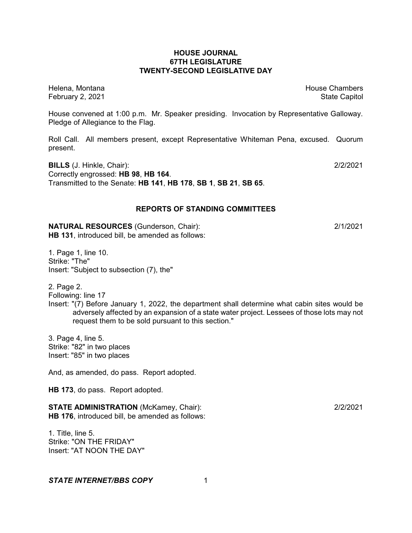## **HOUSE JOURNAL 67TH LEGISLATURE TWENTY-SECOND LEGISLATIVE DAY**

Helena, Montana House Chambers Chambers Chambers and House Chambers Chambers Chambers Chambers Chambers Chambers Chambers Chambers Chambers Chambers Chambers Chambers Chambers Chambers Chambers Chambers Chambers Chambers C February 2, 2021 **State Capitol** 

House convened at 1:00 p.m. Mr. Speaker presiding. Invocation by Representative Galloway. Pledge of Allegiance to the Flag.

Roll Call. All members present, except Representative Whiteman Pena, excused. Quorum present.

**BILLS** (J. Hinkle, Chair): 2/2/2021 Correctly engrossed: **HB 98**, **HB 164**. Transmitted to the Senate: **HB 141**, **HB 178**, **SB 1**, **SB 21**, **SB 65**.

## **REPORTS OF STANDING COMMITTEES**

**NATURAL RESOURCES** (Gunderson, Chair): 2/1/2021 **HB 131**, introduced bill, be amended as follows:

1. Page 1, line 10. Strike: "The" Insert: "Subject to subsection (7), the"

2. Page 2.

Following: line 17

Insert: "(7) Before January 1, 2022, the department shall determine what cabin sites would be adversely affected by an expansion of a state water project. Lessees of those lots may not request them to be sold pursuant to this section."

3. Page 4, line 5. Strike: "82" in two places Insert: "85" in two places

And, as amended, do pass. Report adopted.

**HB 173**, do pass. Report adopted.

**STATE ADMINISTRATION** (McKamey, Chair): 2/2/2021 **HB 176**, introduced bill, be amended as follows:

1. Title, line 5. Strike: "ON THE FRIDAY" Insert: "AT NOON THE DAY"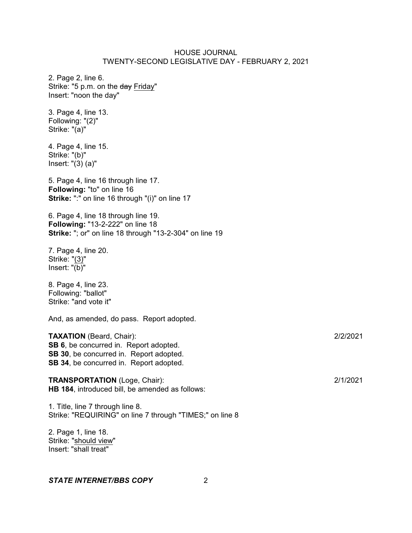2. Page 2, line 6. Strike: "5 p.m. on the day Friday" Insert: "noon the day"

3. Page 4, line 13. Following: "(2)" Strike: "(a)"

4. Page 4, line 15. Strike: "(b)" Insert: "(3) (a)"

5. Page 4, line 16 through line 17. **Following:** "to" on line 16 **Strike:** ":" on line 16 through "(i)" on line 17

6. Page 4, line 18 through line 19. **Following:** "13-2-222" on line 18 **Strike:** "; or" on line 18 through "13-2-304" on line 19

7. Page 4, line 20. Strike: "(3)" Insert:  $\sqrt[n]{(b)}$ "

8. Page 4, line 23. Following: "ballot" Strike: "and vote it"

And, as amended, do pass. Report adopted.

**TAXATION** (Beard, Chair): 2/2/2021 **SB 6**, be concurred in. Report adopted. **SB 30**, be concurred in. Report adopted. **SB 34**, be concurred in. Report adopted.

**TRANSPORTATION** (Loge, Chair): 2/1/2021 **HB 184**, introduced bill, be amended as follows:

1. Title, line 7 through line 8. Strike: "REQUIRING" on line 7 through "TIMES;" on line 8

2. Page 1, line 18. Strike: "should view" Insert: "shall treat"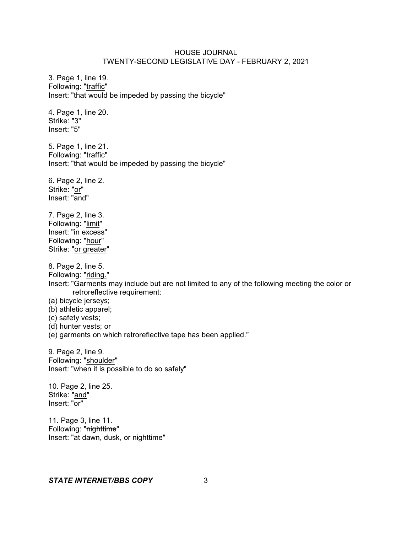3. Page 1, line 19. Following: "traffic" Insert: "that would be impeded by passing the bicycle" 4. Page 1, line 20. Strike: "3" Insert: "5" 5. Page 1, line 21. Following: "traffic" Insert: "that would be impeded by passing the bicycle" 6. Page 2, line 2. Strike: "or" Insert: "and" 7. Page 2, line 3. Following: "limit" Insert: "in excess" Following: "hour" Strike: "or greater" 8. Page 2, line 5. Following: "riding." Insert: "Garments may include but are not limited to any of the following meeting the color or retroreflective requirement: (a) bicycle jerseys; (b) athletic apparel; (c) safety vests; (d) hunter vests; or (e) garments on which retroreflective tape has been applied." 9. Page 2, line 9. Following: "shoulder" Insert: "when it is possible to do so safely" 10. Page 2, line 25. Strike: "and" Insert: "or" 11. Page 3, line 11. Following: "nighttime" Insert: "at dawn, dusk, or nighttime"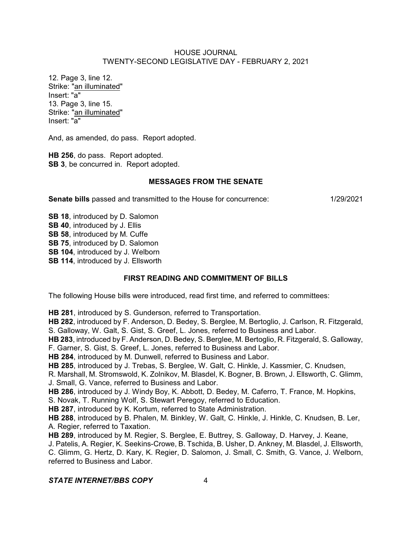12. Page 3, line 12. Strike: "an illuminated" Insert: "a" 13. Page 3, line 15. Strike: "an illuminated" Insert: "a"

And, as amended, do pass. Report adopted.

**HB 256**, do pass. Report adopted. **SB 3**, be concurred in. Report adopted.

## **MESSAGES FROM THE SENATE**

**Senate bills** passed and transmitted to the House for concurrence: 1/29/2021

**SB 18**, introduced by D. Salomon **SB 40**, introduced by J. Ellis **SB 58**, introduced by M. Cuffe **SB 75**, introduced by D. Salomon **SB 104**, introduced by J. Welborn **SB 114**, introduced by J. Ellsworth

# **FIRST READING AND COMMITMENT OF BILLS**

The following House bills were introduced, read first time, and referred to committees:

**HB 281**, introduced by S. Gunderson, referred to Transportation.

**HB 282**, introduced by F. Anderson, D. Bedey, S. Berglee, M. Bertoglio, J. Carlson, R. Fitzgerald, S. Galloway, W. Galt, S. Gist, S. Greef, L. Jones, referred to Business and Labor.

**HB 283**, introduced by F. Anderson, D. Bedey, S. Berglee, M. Bertoglio, R. Fitzgerald, S. Galloway, F. Garner, S. Gist, S. Greef, L. Jones, referred to Business and Labor.

**HB 284**, introduced by M. Dunwell, referred to Business and Labor.

**HB 285**, introduced by J. Trebas, S. Berglee, W. Galt, C. Hinkle, J. Kassmier, C. Knudsen,

R. Marshall, M. Stromswold, K. Zolnikov, M. Blasdel, K. Bogner, B. Brown, J. Ellsworth, C. Glimm, J. Small, G. Vance, referred to Business and Labor.

**HB 286**, introduced by J. Windy Boy, K. Abbott, D. Bedey, M. Caferro, T. France, M. Hopkins, S. Novak, T. Running Wolf, S. Stewart Peregoy, referred to Education.

**HB 287**, introduced by K. Kortum, referred to State Administration.

**HB 288**, introduced by B. Phalen, M. Binkley, W. Galt, C. Hinkle, J. Hinkle, C. Knudsen, B. Ler, A. Regier, referred to Taxation.

**HB 289**, introduced by M. Regier, S. Berglee, E. Buttrey, S. Galloway, D. Harvey, J. Keane, J. Patelis, A. Regier, K. Seekins-Crowe, B. Tschida, B. Usher, D. Ankney, M. Blasdel, J. Ellsworth, C. Glimm, G. Hertz, D. Kary, K. Regier, D. Salomon, J. Small, C. Smith, G. Vance, J. Welborn, referred to Business and Labor.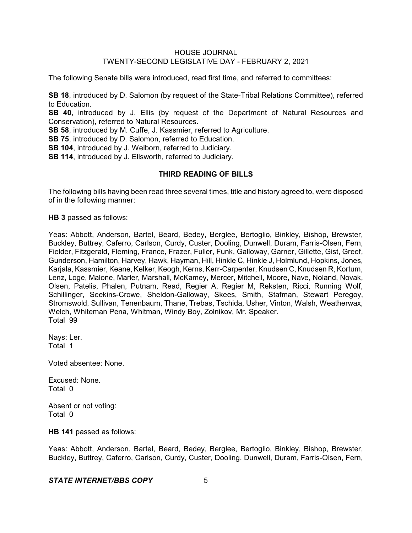The following Senate bills were introduced, read first time, and referred to committees:

**SB 18**, introduced by D. Salomon (by request of the State-Tribal Relations Committee), referred to Education.

**SB 40**, introduced by J. Ellis (by request of the Department of Natural Resources and Conservation), referred to Natural Resources.

**SB 58**, introduced by M. Cuffe, J. Kassmier, referred to Agriculture.

**SB 75**, introduced by D. Salomon, referred to Education.

**SB 104**, introduced by J. Welborn, referred to Judiciary.

**SB 114**, introduced by J. Ellsworth, referred to Judiciary.

#### **THIRD READING OF BILLS**

The following bills having been read three several times, title and history agreed to, were disposed of in the following manner:

**HB 3** passed as follows:

Yeas: Abbott, Anderson, Bartel, Beard, Bedey, Berglee, Bertoglio, Binkley, Bishop, Brewster, Buckley, Buttrey, Caferro, Carlson, Curdy, Custer, Dooling, Dunwell, Duram, Farris-Olsen, Fern, Fielder, Fitzgerald, Fleming, France, Frazer, Fuller, Funk, Galloway, Garner, Gillette, Gist, Greef, Gunderson, Hamilton, Harvey, Hawk, Hayman, Hill, Hinkle C, Hinkle J, Holmlund, Hopkins, Jones, Karjala, Kassmier, Keane, Kelker, Keogh, Kerns, Kerr-Carpenter, Knudsen C, Knudsen R, Kortum, Lenz, Loge, Malone, Marler, Marshall, McKamey, Mercer, Mitchell, Moore, Nave, Noland, Novak, Olsen, Patelis, Phalen, Putnam, Read, Regier A, Regier M, Reksten, Ricci, Running Wolf, Schillinger, Seekins-Crowe, Sheldon-Galloway, Skees, Smith, Stafman, Stewart Peregoy, Stromswold, Sullivan, Tenenbaum, Thane, Trebas, Tschida, Usher, Vinton, Walsh, Weatherwax, Welch, Whiteman Pena, Whitman, Windy Boy, Zolnikov, Mr. Speaker. Total 99

Nays: Ler. Total 1

Voted absentee: None.

Excused: None. Total 0

Absent or not voting: Total 0

**HB 141** passed as follows:

Yeas: Abbott, Anderson, Bartel, Beard, Bedey, Berglee, Bertoglio, Binkley, Bishop, Brewster, Buckley, Buttrey, Caferro, Carlson, Curdy, Custer, Dooling, Dunwell, Duram, Farris-Olsen, Fern,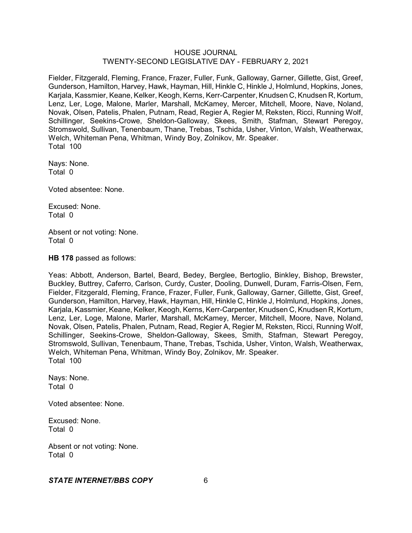Fielder, Fitzgerald, Fleming, France, Frazer, Fuller, Funk, Galloway, Garner, Gillette, Gist, Greef, Gunderson, Hamilton, Harvey, Hawk, Hayman, Hill, Hinkle C, Hinkle J, Holmlund, Hopkins, Jones, Karjala, Kassmier, Keane, Kelker, Keogh, Kerns, Kerr-Carpenter, Knudsen C, Knudsen R, Kortum, Lenz, Ler, Loge, Malone, Marler, Marshall, McKamey, Mercer, Mitchell, Moore, Nave, Noland, Novak, Olsen, Patelis, Phalen, Putnam, Read, Regier A, Regier M, Reksten, Ricci, Running Wolf, Schillinger, Seekins-Crowe, Sheldon-Galloway, Skees, Smith, Stafman, Stewart Peregoy, Stromswold, Sullivan, Tenenbaum, Thane, Trebas, Tschida, Usher, Vinton, Walsh, Weatherwax, Welch, Whiteman Pena, Whitman, Windy Boy, Zolnikov, Mr. Speaker. Total 100

Nays: None. Total 0

Voted absentee: None.

Excused: None. Total 0

Absent or not voting: None. Total 0

**HB 178** passed as follows:

Yeas: Abbott, Anderson, Bartel, Beard, Bedey, Berglee, Bertoglio, Binkley, Bishop, Brewster, Buckley, Buttrey, Caferro, Carlson, Curdy, Custer, Dooling, Dunwell, Duram, Farris-Olsen, Fern, Fielder, Fitzgerald, Fleming, France, Frazer, Fuller, Funk, Galloway, Garner, Gillette, Gist, Greef, Gunderson, Hamilton, Harvey, Hawk, Hayman, Hill, Hinkle C, Hinkle J, Holmlund, Hopkins, Jones, Karjala, Kassmier, Keane, Kelker, Keogh, Kerns, Kerr-Carpenter, Knudsen C, Knudsen R, Kortum, Lenz, Ler, Loge, Malone, Marler, Marshall, McKamey, Mercer, Mitchell, Moore, Nave, Noland, Novak, Olsen, Patelis, Phalen, Putnam, Read, Regier A, Regier M, Reksten, Ricci, Running Wolf, Schillinger, Seekins-Crowe, Sheldon-Galloway, Skees, Smith, Stafman, Stewart Peregoy, Stromswold, Sullivan, Tenenbaum, Thane, Trebas, Tschida, Usher, Vinton, Walsh, Weatherwax, Welch, Whiteman Pena, Whitman, Windy Boy, Zolnikov, Mr. Speaker. Total 100

Nays: None. Total 0

Voted absentee: None.

Excused: None. Total 0

Absent or not voting: None. Total 0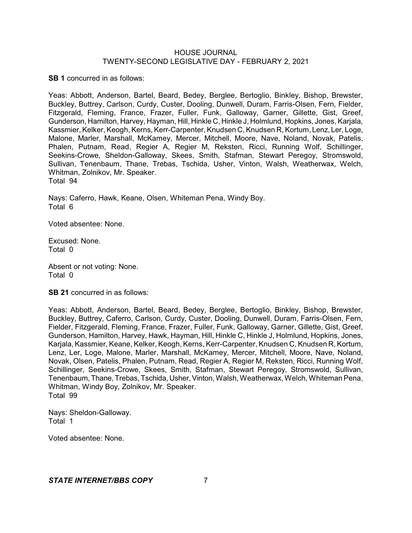**SB 1** concurred in as follows:

Yeas: Abbott, Anderson, Bartel, Beard, Bedey, Berglee, Bertoglio, Binkley, Bishop, Brewster, Buckley, Buttrey, Carlson, Curdy, Custer, Dooling, Dunwell, Duram, Farris-Olsen, Fern, Fielder, Fitzgerald, Fleming, France, Frazer, Fuller, Funk, Galloway, Garner, Gillette, Gist, Greef, Gunderson, Hamilton, Harvey, Hayman, Hill, Hinkle C, Hinkle J, Holmlund, Hopkins, Jones, Karjala, Kassmier, Kelker, Keogh, Kerns, Kerr-Carpenter, Knudsen C, Knudsen R, Kortum, Lenz, Ler, Loge, Malone, Marler, Marshall, McKamey, Mercer, Mitchell, Moore, Nave, Noland, Novak, Patelis, Phalen, Putnam, Read, Regier A, Regier M, Reksten, Ricci, Running Wolf, Schillinger, Seekins-Crowe, Sheldon-Galloway, Skees, Smith, Stafman, Stewart Peregoy, Stromswold, Sullivan, Tenenbaum, Thane, Trebas, Tschida, Usher, Vinton, Walsh, Weatherwax, Welch, Whitman, Zolnikov, Mr. Speaker. Total 94

Nays: Caferro, Hawk, Keane, Olsen, Whiteman Pena, Windy Boy. Total 6

Voted absentee: None.

Excused: None. Total 0

Absent or not voting: None. Total 0

**SB 21** concurred in as follows:

Yeas: Abbott, Anderson, Bartel, Beard, Bedey, Berglee, Bertoglio, Binkley, Bishop, Brewster, Buckley, Buttrey, Caferro, Carlson, Curdy, Custer, Dooling, Dunwell, Duram, Farris-Olsen, Fern, Fielder, Fitzgerald, Fleming, France, Frazer, Fuller, Funk, Galloway, Garner, Gillette, Gist, Greef, Gunderson, Hamilton, Harvey, Hawk, Hayman, Hill, Hinkle C, Hinkle J, Holmlund, Hopkins, Jones, Karjala, Kassmier, Keane, Kelker, Keogh, Kerns, Kerr-Carpenter, Knudsen C, Knudsen R, Kortum, Lenz, Ler, Loge, Malone, Marler, Marshall, McKamey, Mercer, Mitchell, Moore, Nave, Noland, Novak, Olsen, Patelis, Phalen, Putnam, Read, Regier A, Regier M, Reksten, Ricci, Running Wolf, Schillinger, Seekins-Crowe, Skees, Smith, Stafman, Stewart Peregoy, Stromswold, Sullivan, Tenenbaum, Thane, Trebas, Tschida, Usher,Vinton, Walsh, Weatherwax, Welch, Whiteman Pena, Whitman, Windy Boy, Zolnikov, Mr. Speaker. Total 99

Nays: Sheldon-Galloway. Total 1

Voted absentee: None.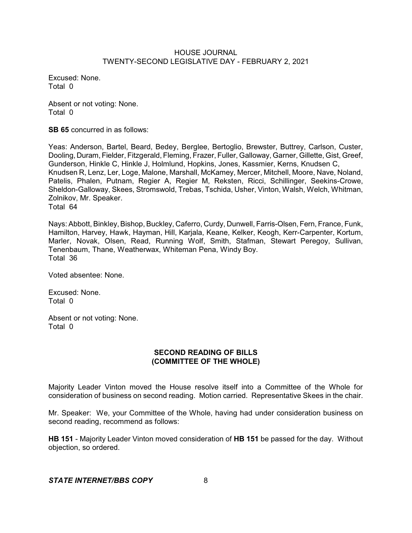Excused: None. Total 0

Absent or not voting: None. Total 0

**SB 65** concurred in as follows:

Yeas: Anderson, Bartel, Beard, Bedey, Berglee, Bertoglio, Brewster, Buttrey, Carlson, Custer, Dooling, Duram, Fielder, Fitzgerald, Fleming, Frazer, Fuller, Galloway, Garner, Gillette, Gist, Greef, Gunderson, Hinkle C, Hinkle J, Holmlund, Hopkins, Jones, Kassmier, Kerns, Knudsen C, Knudsen R, Lenz, Ler, Loge, Malone, Marshall, McKamey, Mercer, Mitchell, Moore, Nave, Noland, Patelis, Phalen, Putnam, Regier A, Regier M, Reksten, Ricci, Schillinger, Seekins-Crowe, Sheldon-Galloway, Skees, Stromswold, Trebas, Tschida, Usher, Vinton, Walsh, Welch, Whitman, Zolnikov, Mr. Speaker. Total 64

Nays: Abbott, Binkley, Bishop, Buckley, Caferro, Curdy, Dunwell, Farris-Olsen, Fern, France, Funk, Hamilton, Harvey, Hawk, Hayman, Hill, Karjala, Keane, Kelker, Keogh, Kerr-Carpenter, Kortum, Marler, Novak, Olsen, Read, Running Wolf, Smith, Stafman, Stewart Peregoy, Sullivan, Tenenbaum, Thane, Weatherwax, Whiteman Pena, Windy Boy. Total 36

Voted absentee: None.

Excused: None. Total 0

Absent or not voting: None. Total 0

# **SECOND READING OF BILLS (COMMITTEE OF THE WHOLE)**

Majority Leader Vinton moved the House resolve itself into a Committee of the Whole for consideration of business on second reading. Motion carried. Representative Skees in the chair.

Mr. Speaker: We, your Committee of the Whole, having had under consideration business on second reading, recommend as follows:

**HB 151** - Majority Leader Vinton moved consideration of **HB 151** be passed for the day. Without objection, so ordered.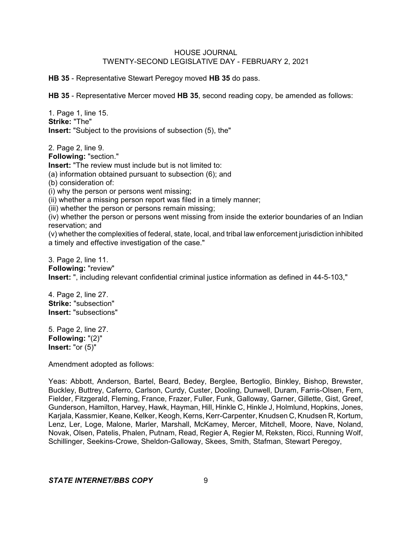**HB 35** - Representative Stewart Peregoy moved **HB 35** do pass.

**HB 35** - Representative Mercer moved **HB 35**, second reading copy, be amended as follows:

1. Page 1, line 15. **Strike:** "The" **Insert:** "Subject to the provisions of subsection (5), the"

2. Page 2, line 9. **Following:** "section." **Insert:** "The review must include but is not limited to: (a) information obtained pursuant to subsection (6); and (b) consideration of: (i) why the person or persons went missing; (ii) whether a missing person report was filed in a timely manner; (iii) whether the person or persons remain missing; (iv) whether the person or persons went missing from inside the exterior boundaries of an Indian reservation; and (v) whether the complexities of federal, state, local, and tribal law enforcement jurisdiction inhibited a timely and effective investigation of the case." 3. Page 2, line 11.

**Following:** "review" **Insert:** ", including relevant confidential criminal justice information as defined in 44-5-103,"

4. Page 2, line 27. **Strike:** "subsection" **Insert:** "subsections"

5. Page 2, line 27. **Following:** "(2)" **Insert:** "or (5)"

Amendment adopted as follows:

Yeas: Abbott, Anderson, Bartel, Beard, Bedey, Berglee, Bertoglio, Binkley, Bishop, Brewster, Buckley, Buttrey, Caferro, Carlson, Curdy, Custer, Dooling, Dunwell, Duram, Farris-Olsen, Fern, Fielder, Fitzgerald, Fleming, France, Frazer, Fuller, Funk, Galloway, Garner, Gillette, Gist, Greef, Gunderson, Hamilton, Harvey, Hawk, Hayman, Hill, Hinkle C, Hinkle J, Holmlund, Hopkins, Jones, Karjala, Kassmier, Keane, Kelker, Keogh, Kerns, Kerr-Carpenter, Knudsen C, Knudsen R, Kortum, Lenz, Ler, Loge, Malone, Marler, Marshall, McKamey, Mercer, Mitchell, Moore, Nave, Noland, Novak, Olsen, Patelis, Phalen, Putnam, Read, Regier A, Regier M, Reksten, Ricci, Running Wolf, Schillinger, Seekins-Crowe, Sheldon-Galloway, Skees, Smith, Stafman, Stewart Peregoy,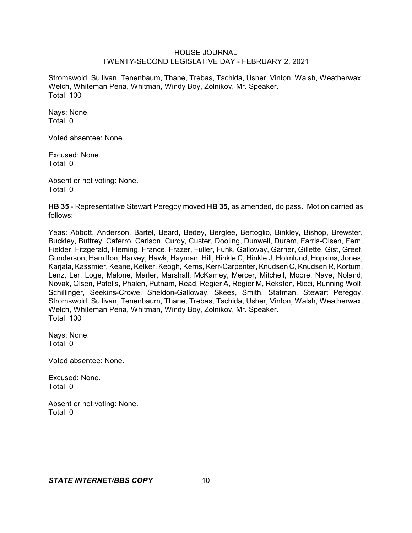Stromswold, Sullivan, Tenenbaum, Thane, Trebas, Tschida, Usher, Vinton, Walsh, Weatherwax, Welch, Whiteman Pena, Whitman, Windy Boy, Zolnikov, Mr. Speaker. Total 100

Nays: None. Total 0

Voted absentee: None.

Excused: None. Total 0

Absent or not voting: None. Total 0

**HB 35** - Representative Stewart Peregoy moved **HB 35**, as amended, do pass. Motion carried as follows:

Yeas: Abbott, Anderson, Bartel, Beard, Bedey, Berglee, Bertoglio, Binkley, Bishop, Brewster, Buckley, Buttrey, Caferro, Carlson, Curdy, Custer, Dooling, Dunwell, Duram, Farris-Olsen, Fern, Fielder, Fitzgerald, Fleming, France, Frazer, Fuller, Funk, Galloway, Garner, Gillette, Gist, Greef, Gunderson, Hamilton, Harvey, Hawk, Hayman, Hill, Hinkle C, Hinkle J, Holmlund, Hopkins, Jones, Karjala, Kassmier, Keane, Kelker, Keogh, Kerns, Kerr-Carpenter, Knudsen C, Knudsen R, Kortum, Lenz, Ler, Loge, Malone, Marler, Marshall, McKamey, Mercer, Mitchell, Moore, Nave, Noland, Novak, Olsen, Patelis, Phalen, Putnam, Read, Regier A, Regier M, Reksten, Ricci, Running Wolf, Schillinger, Seekins-Crowe, Sheldon-Galloway, Skees, Smith, Stafman, Stewart Peregoy, Stromswold, Sullivan, Tenenbaum, Thane, Trebas, Tschida, Usher, Vinton, Walsh, Weatherwax, Welch, Whiteman Pena, Whitman, Windy Boy, Zolnikov, Mr. Speaker. Total 100

Nays: None. Total 0

Voted absentee: None.

Excused: None. Total 0

Absent or not voting: None. Total 0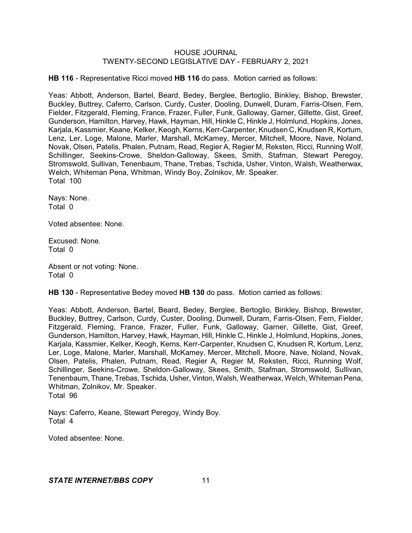**HB 116** - Representative Ricci moved **HB 116** do pass. Motion carried as follows:

Yeas: Abbott, Anderson, Bartel, Beard, Bedey, Berglee, Bertoglio, Binkley, Bishop, Brewster, Buckley, Buttrey, Caferro, Carlson, Curdy, Custer, Dooling, Dunwell, Duram, Farris-Olsen, Fern, Fielder, Fitzgerald, Fleming, France, Frazer, Fuller, Funk, Galloway, Garner, Gillette, Gist, Greef, Gunderson, Hamilton, Harvey, Hawk, Hayman, Hill, Hinkle C, Hinkle J, Holmlund, Hopkins, Jones, Karjala, Kassmier, Keane, Kelker, Keogh, Kerns, Kerr-Carpenter, Knudsen C, Knudsen R, Kortum, Lenz, Ler, Loge, Malone, Marler, Marshall, McKamey, Mercer, Mitchell, Moore, Nave, Noland, Novak, Olsen, Patelis, Phalen, Putnam, Read, Regier A, Regier M, Reksten, Ricci, Running Wolf, Schillinger, Seekins-Crowe, Sheldon-Galloway, Skees, Smith, Stafman, Stewart Peregoy, Stromswold, Sullivan, Tenenbaum, Thane, Trebas, Tschida, Usher, Vinton, Walsh, Weatherwax, Welch, Whiteman Pena, Whitman, Windy Boy, Zolnikov, Mr. Speaker. Total 100

Nays: None. Total 0

Voted absentee: None.

Excused: None. Total 0

Absent or not voting: None. Total 0

**HB 130** - Representative Bedey moved **HB 130** do pass. Motion carried as follows:

Yeas: Abbott, Anderson, Bartel, Beard, Bedey, Berglee, Bertoglio, Binkley, Bishop, Brewster, Buckley, Buttrey, Carlson, Curdy, Custer, Dooling, Dunwell, Duram, Farris-Olsen, Fern, Fielder, Fitzgerald, Fleming, France, Frazer, Fuller, Funk, Galloway, Garner, Gillette, Gist, Greef, Gunderson, Hamilton, Harvey, Hawk, Hayman, Hill, Hinkle C, Hinkle J, Holmlund, Hopkins, Jones, Karjala, Kassmier, Kelker, Keogh, Kerns, Kerr-Carpenter, Knudsen C, Knudsen R, Kortum, Lenz, Ler, Loge, Malone, Marler, Marshall, McKamey, Mercer, Mitchell, Moore, Nave, Noland, Novak, Olsen, Patelis, Phalen, Putnam, Read, Regier A, Regier M, Reksten, Ricci, Running Wolf, Schillinger, Seekins-Crowe, Sheldon-Galloway, Skees, Smith, Stafman, Stromswold, Sullivan, Tenenbaum, Thane, Trebas, Tschida, Usher,Vinton, Walsh, Weatherwax, Welch, Whiteman Pena, Whitman, Zolnikov, Mr. Speaker. Total 96

Nays: Caferro, Keane, Stewart Peregoy, Windy Boy. Total 4

Voted absentee: None.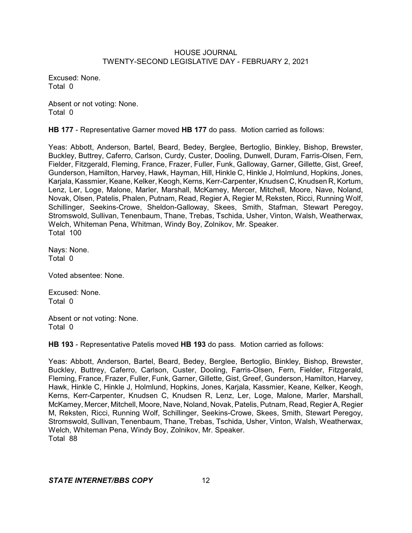Excused: None. Total 0

Absent or not voting: None. Total 0

**HB 177** - Representative Garner moved **HB 177** do pass. Motion carried as follows:

Yeas: Abbott, Anderson, Bartel, Beard, Bedey, Berglee, Bertoglio, Binkley, Bishop, Brewster, Buckley, Buttrey, Caferro, Carlson, Curdy, Custer, Dooling, Dunwell, Duram, Farris-Olsen, Fern, Fielder, Fitzgerald, Fleming, France, Frazer, Fuller, Funk, Galloway, Garner, Gillette, Gist, Greef, Gunderson, Hamilton, Harvey, Hawk, Hayman, Hill, Hinkle C, Hinkle J, Holmlund, Hopkins, Jones, Karjala, Kassmier, Keane, Kelker, Keogh, Kerns, Kerr-Carpenter, Knudsen C, Knudsen R, Kortum, Lenz, Ler, Loge, Malone, Marler, Marshall, McKamey, Mercer, Mitchell, Moore, Nave, Noland, Novak, Olsen, Patelis, Phalen, Putnam, Read, Regier A, Regier M, Reksten, Ricci, Running Wolf, Schillinger, Seekins-Crowe, Sheldon-Galloway, Skees, Smith, Stafman, Stewart Peregoy, Stromswold, Sullivan, Tenenbaum, Thane, Trebas, Tschida, Usher, Vinton, Walsh, Weatherwax, Welch, Whiteman Pena, Whitman, Windy Boy, Zolnikov, Mr. Speaker. Total 100

Nays: None. Total 0

Voted absentee: None.

Excused: None. Total 0

Absent or not voting: None. Total 0

**HB 193** - Representative Patelis moved **HB 193** do pass. Motion carried as follows:

Yeas: Abbott, Anderson, Bartel, Beard, Bedey, Berglee, Bertoglio, Binkley, Bishop, Brewster, Buckley, Buttrey, Caferro, Carlson, Custer, Dooling, Farris-Olsen, Fern, Fielder, Fitzgerald, Fleming, France, Frazer, Fuller, Funk, Garner, Gillette, Gist, Greef, Gunderson, Hamilton, Harvey, Hawk, Hinkle C, Hinkle J, Holmlund, Hopkins, Jones, Karjala, Kassmier, Keane, Kelker, Keogh, Kerns, Kerr-Carpenter, Knudsen C, Knudsen R, Lenz, Ler, Loge, Malone, Marler, Marshall, McKamey, Mercer, Mitchell, Moore, Nave, Noland, Novak,Patelis, Putnam, Read, Regier A, Regier M, Reksten, Ricci, Running Wolf, Schillinger, Seekins-Crowe, Skees, Smith, Stewart Peregoy, Stromswold, Sullivan, Tenenbaum, Thane, Trebas, Tschida, Usher, Vinton, Walsh, Weatherwax, Welch, Whiteman Pena, Windy Boy, Zolnikov, Mr. Speaker. Total 88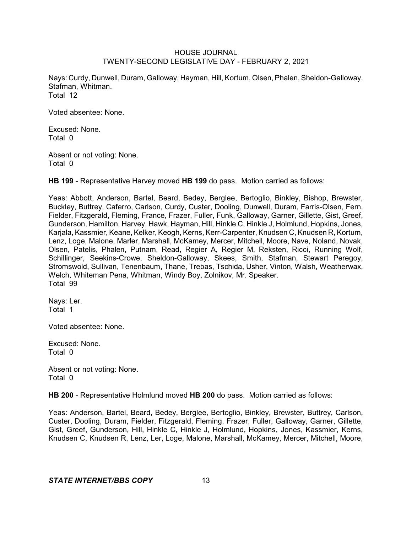Nays: Curdy, Dunwell, Duram, Galloway, Hayman, Hill, Kortum, Olsen,Phalen, Sheldon-Galloway, Stafman, Whitman. Total 12

Voted absentee: None.

Excused: None. Total 0

Absent or not voting: None. Total 0

**HB 199** - Representative Harvey moved **HB 199** do pass. Motion carried as follows:

Yeas: Abbott, Anderson, Bartel, Beard, Bedey, Berglee, Bertoglio, Binkley, Bishop, Brewster, Buckley, Buttrey, Caferro, Carlson, Curdy, Custer, Dooling, Dunwell, Duram, Farris-Olsen, Fern, Fielder, Fitzgerald, Fleming, France, Frazer, Fuller, Funk, Galloway, Garner, Gillette, Gist, Greef, Gunderson, Hamilton, Harvey, Hawk, Hayman, Hill, Hinkle C, Hinkle J, Holmlund, Hopkins, Jones, Karjala, Kassmier, Keane, Kelker, Keogh, Kerns, Kerr-Carpenter, Knudsen C, Knudsen R, Kortum, Lenz, Loge, Malone, Marler, Marshall, McKamey, Mercer, Mitchell, Moore, Nave, Noland, Novak, Olsen, Patelis, Phalen, Putnam, Read, Regier A, Regier M, Reksten, Ricci, Running Wolf, Schillinger, Seekins-Crowe, Sheldon-Galloway, Skees, Smith, Stafman, Stewart Peregoy, Stromswold, Sullivan, Tenenbaum, Thane, Trebas, Tschida, Usher, Vinton, Walsh, Weatherwax, Welch, Whiteman Pena, Whitman, Windy Boy, Zolnikov, Mr. Speaker. Total 99

Nays: Ler. Total 1

Voted absentee: None.

Excused: None. Total 0

Absent or not voting: None. Total 0

**HB 200** - Representative Holmlund moved **HB 200** do pass. Motion carried as follows:

Yeas: Anderson, Bartel, Beard, Bedey, Berglee, Bertoglio, Binkley, Brewster, Buttrey, Carlson, Custer, Dooling, Duram, Fielder, Fitzgerald, Fleming, Frazer, Fuller, Galloway, Garner, Gillette, Gist, Greef, Gunderson, Hill, Hinkle C, Hinkle J, Holmlund, Hopkins, Jones, Kassmier, Kerns, Knudsen C, Knudsen R, Lenz, Ler, Loge, Malone, Marshall, McKamey, Mercer, Mitchell, Moore,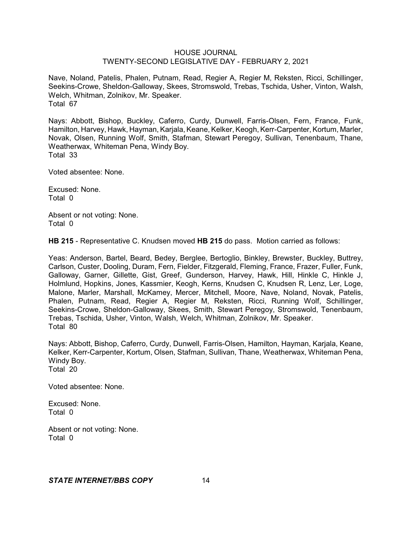Nave, Noland, Patelis, Phalen, Putnam, Read, Regier A, Regier M, Reksten, Ricci, Schillinger, Seekins-Crowe, Sheldon-Galloway, Skees, Stromswold, Trebas, Tschida, Usher, Vinton, Walsh, Welch, Whitman, Zolnikov, Mr. Speaker. Total 67

Nays: Abbott, Bishop, Buckley, Caferro, Curdy, Dunwell, Farris-Olsen, Fern, France, Funk, Hamilton, Harvey, Hawk, Hayman, Karjala, Keane, Kelker, Keogh, Kerr-Carpenter, Kortum, Marler, Novak, Olsen, Running Wolf, Smith, Stafman, Stewart Peregoy, Sullivan, Tenenbaum, Thane, Weatherwax, Whiteman Pena, Windy Boy. Total 33

Voted absentee: None.

Excused: None. Total 0

Absent or not voting: None. Total 0

**HB 215** - Representative C. Knudsen moved **HB 215** do pass. Motion carried as follows:

Yeas: Anderson, Bartel, Beard, Bedey, Berglee, Bertoglio, Binkley, Brewster, Buckley, Buttrey, Carlson, Custer, Dooling, Duram, Fern, Fielder, Fitzgerald, Fleming, France, Frazer, Fuller, Funk, Galloway, Garner, Gillette, Gist, Greef, Gunderson, Harvey, Hawk, Hill, Hinkle C, Hinkle J, Holmlund, Hopkins, Jones, Kassmier, Keogh, Kerns, Knudsen C, Knudsen R, Lenz, Ler, Loge, Malone, Marler, Marshall, McKamey, Mercer, Mitchell, Moore, Nave, Noland, Novak, Patelis, Phalen, Putnam, Read, Regier A, Regier M, Reksten, Ricci, Running Wolf, Schillinger, Seekins-Crowe, Sheldon-Galloway, Skees, Smith, Stewart Peregoy, Stromswold, Tenenbaum, Trebas, Tschida, Usher, Vinton, Walsh, Welch, Whitman, Zolnikov, Mr. Speaker. Total 80

Nays: Abbott, Bishop, Caferro, Curdy, Dunwell, Farris-Olsen, Hamilton, Hayman, Karjala, Keane, Kelker, Kerr-Carpenter, Kortum, Olsen, Stafman, Sullivan, Thane, Weatherwax, Whiteman Pena, Windy Boy. Total 20

Voted absentee: None.

Excused: None. Total 0

Absent or not voting: None. Total 0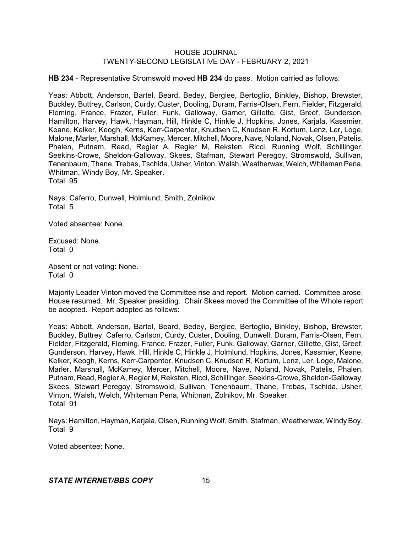**HB 234** - Representative Stromswold moved **HB 234** do pass. Motion carried as follows:

Yeas: Abbott, Anderson, Bartel, Beard, Bedey, Berglee, Bertoglio, Binkley, Bishop, Brewster, Buckley, Buttrey, Carlson, Curdy, Custer, Dooling, Duram, Farris-Olsen, Fern, Fielder, Fitzgerald, Fleming, France, Frazer, Fuller, Funk, Galloway, Garner, Gillette, Gist, Greef, Gunderson, Hamilton, Harvey, Hawk, Hayman, Hill, Hinkle C, Hinkle J, Hopkins, Jones, Karjala, Kassmier, Keane, Kelker, Keogh, Kerns, Kerr-Carpenter, Knudsen C, Knudsen R, Kortum, Lenz, Ler, Loge, Malone, Marler, Marshall, McKamey, Mercer, Mitchell, Moore, Nave, Noland, Novak, Olsen, Patelis, Phalen, Putnam, Read, Regier A, Regier M, Reksten, Ricci, Running Wolf, Schillinger, Seekins-Crowe, Sheldon-Galloway, Skees, Stafman, Stewart Peregoy, Stromswold, Sullivan, Tenenbaum, Thane, Trebas, Tschida, Usher, Vinton, Walsh, Weatherwax, Welch, Whiteman Pena, Whitman, Windy Boy, Mr. Speaker. Total 95

Nays: Caferro, Dunwell, Holmlund, Smith, Zolnikov. Total 5

Voted absentee: None.

Excused: None. Total 0

Absent or not voting: None. Total 0

Majority Leader Vinton moved the Committee rise and report. Motion carried. Committee arose. House resumed. Mr. Speaker presiding. Chair Skees moved the Committee of the Whole report be adopted. Report adopted as follows:

Yeas: Abbott, Anderson, Bartel, Beard, Bedey, Berglee, Bertoglio, Binkley, Bishop, Brewster, Buckley, Buttrey, Caferro, Carlson, Curdy, Custer, Dooling, Dunwell, Duram, Farris-Olsen, Fern, Fielder, Fitzgerald, Fleming, France, Frazer, Fuller, Funk, Galloway, Garner, Gillette, Gist, Greef, Gunderson, Harvey, Hawk, Hill, Hinkle C, Hinkle J, Holmlund, Hopkins, Jones, Kassmier, Keane, Kelker, Keogh, Kerns, Kerr-Carpenter, Knudsen C, Knudsen R, Kortum, Lenz, Ler, Loge, Malone, Marler, Marshall, McKamey, Mercer, Mitchell, Moore, Nave, Noland, Novak, Patelis, Phalen, Putnam, Read, Regier A, Regier M, Reksten, Ricci, Schillinger, Seekins-Crowe, Sheldon-Galloway, Skees, Stewart Peregoy, Stromswold, Sullivan, Tenenbaum, Thane, Trebas, Tschida, Usher, Vinton, Walsh, Welch, Whiteman Pena, Whitman, Zolnikov, Mr. Speaker. Total 91

Nays: Hamilton, Hayman, Karjala, Olsen, Running Wolf,Smith, Stafman, Weatherwax, WindyBoy. Total 9

Voted absentee: None.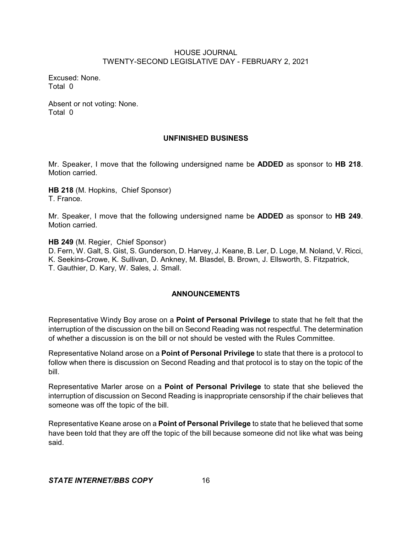Excused: None. Total 0

Absent or not voting: None. Total 0

## **UNFINISHED BUSINESS**

Mr. Speaker, I move that the following undersigned name be **ADDED** as sponsor to **HB 218**. Motion carried.

**HB 218** (M. Hopkins, Chief Sponsor) T. France.

Mr. Speaker, I move that the following undersigned name be **ADDED** as sponsor to **HB 249**. Motion carried.

**HB 249** (M. Regier, Chief Sponsor)

D. Fern, W. Galt, S. Gist, S. Gunderson, D. Harvey, J. Keane, B. Ler, D. Loge, M. Noland, V. Ricci, K. Seekins-Crowe, K. Sullivan, D. Ankney, M. Blasdel, B. Brown, J. Ellsworth, S. Fitzpatrick, T. Gauthier, D. Kary, W. Sales, J. Small.

# **ANNOUNCEMENTS**

Representative Windy Boy arose on a **Point of Personal Privilege** to state that he felt that the interruption of the discussion on the bill on Second Reading was not respectful. The determination of whether a discussion is on the bill or not should be vested with the Rules Committee.

Representative Noland arose on a **Point of Personal Privilege** to state that there is a protocol to follow when there is discussion on Second Reading and that protocol is to stay on the topic of the bill.

Representative Marler arose on a **Point of Personal Privilege** to state that she believed the interruption of discussion on Second Reading is inappropriate censorship if the chair believes that someone was off the topic of the bill.

Representative Keane arose on a **Point of Personal Privilege** to state that he believed that some have been told that they are off the topic of the bill because someone did not like what was being said.